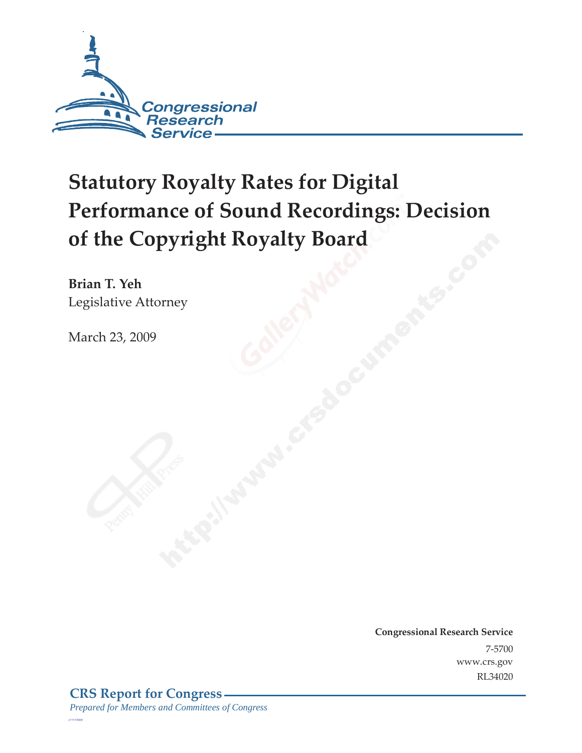

# **Statutory Royalty Rates for Digital Performance of Sound Recordings: Decision of the Copyright Royalty Board**

**Brian T. Yeh**  Legislative Attorney

March 23, 2009

**Congressional Research Service** 7-5700 www.crs.gov RL34020

*c11173008*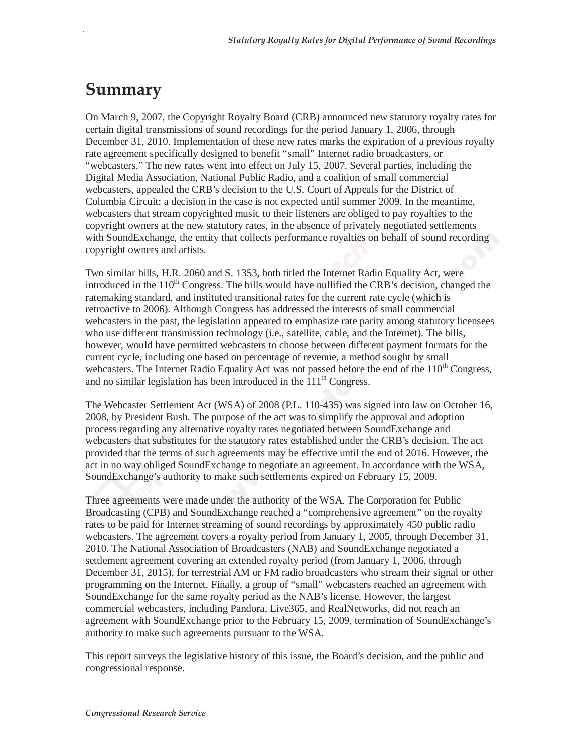## **Summary**

.

On March 9, 2007, the Copyright Royalty Board (CRB) announced new statutory royalty rates for certain digital transmissions of sound recordings for the period January 1, 2006, through December 31, 2010. Implementation of these new rates marks the expiration of a previous royalty rate agreement specifically designed to benefit "small" Internet radio broadcasters, or "webcasters." The new rates went into effect on July 15, 2007. Several parties, including the Digital Media Association, National Public Radio, and a coalition of small commercial webcasters, appealed the CRB's decision to the U.S. Court of Appeals for the District of Columbia Circuit; a decision in the case is not expected until summer 2009. In the meantime, webcasters that stream copyrighted music to their listeners are obliged to pay royalties to the copyright owners at the new statutory rates, in the absence of privately negotiated settlements with SoundExchange, the entity that collects performance royalties on behalf of sound recording copyright owners and artists.

Two similar bills, H.R. 2060 and S. 1353, both titled the Internet Radio Equality Act, were introduced in the  $110<sup>th</sup>$  Congress. The bills would have nullified the CRB's decision, changed the ratemaking standard, and instituted transitional rates for the current rate cycle (which is retroactive to 2006). Although Congress has addressed the interests of small commercial webcasters in the past, the legislation appeared to emphasize rate parity among statutory licensees who use different transmission technology (i.e., satellite, cable, and the Internet). The bills, however, would have permitted webcasters to choose between different payment formats for the current cycle, including one based on percentage of revenue, a method sought by small webcasters. The Internet Radio Equality Act was not passed before the end of the 110<sup>th</sup> Congress, and no similar legislation has been introduced in the  $111<sup>th</sup>$  Congress.

The Webcaster Settlement Act (WSA) of 2008 (P.L. 110-435) was signed into law on October 16, 2008, by President Bush. The purpose of the act was to simplify the approval and adoption process regarding any alternative royalty rates negotiated between SoundExchange and webcasters that substitutes for the statutory rates established under the CRB's decision. The act provided that the terms of such agreements may be effective until the end of 2016. However, the act in no way obliged SoundExchange to negotiate an agreement. In accordance with the WSA, SoundExchange's authority to make such settlements expired on February 15, 2009.

Three agreements were made under the authority of the WSA. The Corporation for Public Broadcasting (CPB) and SoundExchange reached a "comprehensive agreement" on the royalty rates to be paid for Internet streaming of sound recordings by approximately 450 public radio webcasters. The agreement covers a royalty period from January 1, 2005, through December 31, 2010. The National Association of Broadcasters (NAB) and SoundExchange negotiated a settlement agreement covering an extended royalty period (from January 1, 2006, through December 31, 2015), for terrestrial AM or FM radio broadcasters who stream their signal or other programming on the Internet. Finally, a group of "small" webcasters reached an agreement with SoundExchange for the same royalty period as the NAB's license. However, the largest commercial webcasters, including Pandora, Live365, and RealNetworks, did not reach an agreement with SoundExchange prior to the February 15, 2009, termination of SoundExchange's authority to make such agreements pursuant to the WSA.

This report surveys the legislative history of this issue, the Board's decision, and the public and congressional response.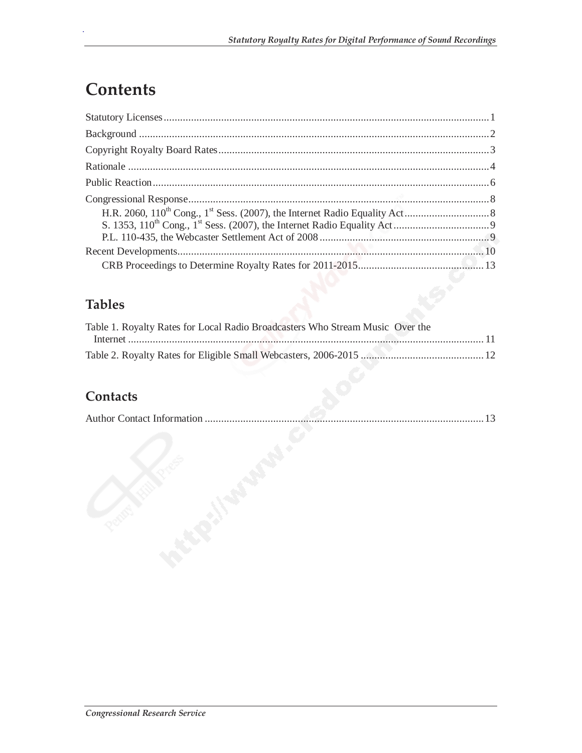## **Contents**

.

#### **Tables**

| Table 1. Royalty Rates for Local Radio Broadcasters Who Stream Music Over the |  |
|-------------------------------------------------------------------------------|--|
|                                                                               |  |
|                                                                               |  |

#### **Contacts**

| 13<br>. <i>.</i> . |
|--------------------|
|                    |
|                    |
|                    |
|                    |
|                    |
|                    |
|                    |
|                    |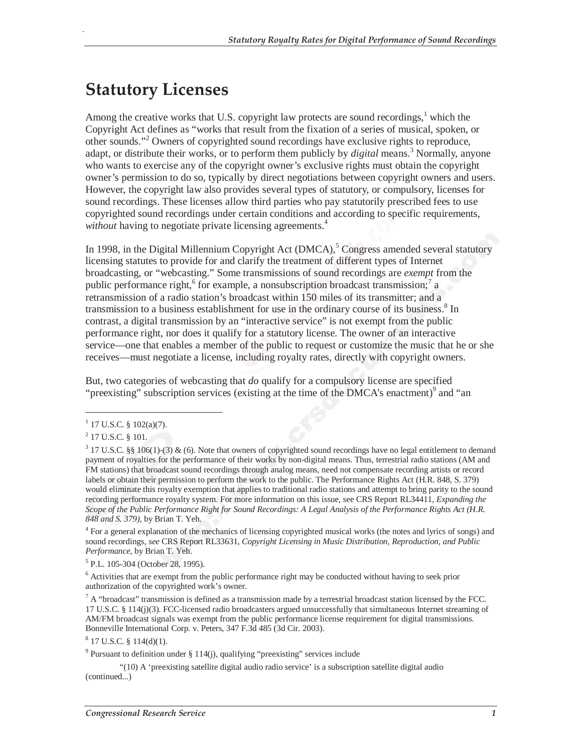## **Statutory Licenses**

Among the creative works that U.S. copyright law protects are sound recordings,<sup>1</sup> which the Copyright Act defines as "works that result from the fixation of a series of musical, spoken, or other sounds."<sup>2</sup> Owners of copyrighted sound recordings have exclusive rights to reproduce, adapt, or distribute their works, or to perform them publicly by *digital* means.<sup>3</sup> Normally, anyone who wants to exercise any of the copyright owner's exclusive rights must obtain the copyright owner's permission to do so, typically by direct negotiations between copyright owners and users. However, the copyright law also provides several types of statutory, or compulsory, licenses for sound recordings. These licenses allow third parties who pay statutorily prescribed fees to use copyrighted sound recordings under certain conditions and according to specific requirements, *without* having to negotiate private licensing agreements.<sup>4</sup>

In 1998, in the Digital Millennium Copyright Act (DMCA),<sup>5</sup> Congress amended several statutory licensing statutes to provide for and clarify the treatment of different types of Internet broadcasting, or "webcasting." Some transmissions of sound recordings are *exempt* from the public performance right,  $6$  for example, a nonsubscription broadcast transmission;<sup>7</sup> a retransmission of a radio station's broadcast within 150 miles of its transmitter; and a transmission to a business establishment for use in the ordinary course of its business.<sup>8</sup> In contrast, a digital transmission by an "interactive service" is not exempt from the public performance right, nor does it qualify for a statutory license. The owner of an interactive service—one that enables a member of the public to request or customize the music that he or she receives—must negotiate a license, including royalty rates, directly with copyright owners.

But, two categories of webcasting that *do* qualify for a compulsory license are specified "preexisting" subscription services (existing at the time of the DMCA's enactment)<sup>9</sup> and "an

-

.

<sup>4</sup> For a general explanation of the mechanics of licensing copyrighted musical works (the notes and lyrics of songs) and sound recordings, *see* CRS Report RL33631, *Copyright Licensing in Music Distribution, Reproduction, and Public Performance*, by Brian T. Yeh.

5 P.L. 105-304 (October 28, 1995).

<sup>6</sup> Activities that are exempt from the public performance right may be conducted without having to seek prior authorization of the copyrighted work's owner.

 $^7$  A "broadcast" transmission is defined as a transmission made by a terrestrial broadcast station licensed by the FCC. 17 U.S.C. § 114(j)(3). FCC-licensed radio broadcasters argued unsuccessfully that simultaneous Internet streaming of AM/FM broadcast signals was exempt from the public performance license requirement for digital transmissions. Bonneville International Corp. v. Peters, 347 F.3d 485 (3d Cir. 2003).

 $8$  17 U.S.C. § 114(d)(1).

"(10) A 'preexisting satellite digital audio radio service' is a subscription satellite digital audio (continued...)

 $1$  17 U.S.C. § 102(a)(7).

 $^{2}$  17 U.S.C. § 101.

 $3$  17 U.S.C. §§ 106(1)-(3) & (6). Note that owners of copyrighted sound recordings have no legal entitlement to demand payment of royalties for the performance of their works by non-digital means. Thus, terrestrial radio stations (AM and FM stations) that broadcast sound recordings through analog means, need not compensate recording artists or record labels or obtain their permission to perform the work to the public. The Performance Rights Act (H.R. 848, S. 379) would eliminate this royalty exemption that applies to traditional radio stations and attempt to bring parity to the sound recording performance royalty system. For more information on this issue, see CRS Report RL34411, *Expanding the Scope of the Public Performance Right for Sound Recordings: A Legal Analysis of the Performance Rights Act (H.R. 848 and S. 379)*, by Brian T. Yeh.

<sup>&</sup>lt;sup>9</sup> Pursuant to definition under  $\S 114(j)$ , qualifying "preexisting" services include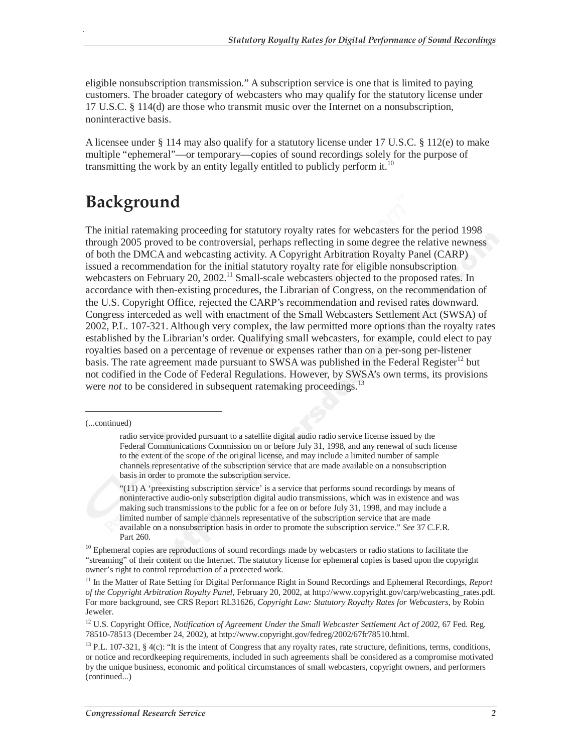eligible nonsubscription transmission." A subscription service is one that is limited to paying customers. The broader category of webcasters who may qualify for the statutory license under 17 U.S.C. § 114(d) are those who transmit music over the Internet on a nonsubscription, noninteractive basis.

A licensee under § 114 may also qualify for a statutory license under 17 U.S.C. § 112(e) to make multiple "ephemeral"—or temporary—copies of sound recordings solely for the purpose of transmitting the work by an entity legally entitled to publicly perform it.<sup>10</sup>

## **Background**

The initial ratemaking proceeding for statutory royalty rates for webcasters for the period 1998 through 2005 proved to be controversial, perhaps reflecting in some degree the relative newness of both the DMCA and webcasting activity. A Copyright Arbitration Royalty Panel (CARP) issued a recommendation for the initial statutory royalty rate for eligible nonsubscription webcasters on February 20, 2002.<sup>11</sup> Small-scale webcasters objected to the proposed rates. In accordance with then-existing procedures, the Librarian of Congress, on the recommendation of the U.S. Copyright Office, rejected the CARP's recommendation and revised rates downward. Congress interceded as well with enactment of the Small Webcasters Settlement Act (SWSA) of 2002, P.L. 107-321. Although very complex, the law permitted more options than the royalty rates established by the Librarian's order. Qualifying small webcasters, for example, could elect to pay royalties based on a percentage of revenue or expenses rather than on a per-song per-listener basis. The rate agreement made pursuant to SWSA was published in the Federal Register<sup>12</sup> but not codified in the Code of Federal Regulations. However, by SWSA's own terms, its provisions were *not* to be considered in subsequent ratemaking proceedings.<sup>13</sup>

-

.

"(11) A 'preexisting subscription service' is a service that performs sound recordings by means of noninteractive audio-only subscription digital audio transmissions, which was in existence and was making such transmissions to the public for a fee on or before July 31, 1998, and may include a limited number of sample channels representative of the subscription service that are made available on a nonsubscription basis in order to promote the subscription service." *See* 37 C.F.R. Part 260.

 $10$  Ephemeral copies are reproductions of sound recordings made by webcasters or radio stations to facilitate the "streaming" of their content on the Internet. The statutory license for ephemeral copies is based upon the copyright owner's right to control reproduction of a protected work.

<sup>11</sup> In the Matter of Rate Setting for Digital Performance Right in Sound Recordings and Ephemeral Recordings, *Report of the Copyright Arbitration Royalty Panel,* February 20, 2002, at http://www.copyright.gov/carp/webcasting\_rates.pdf. For more background, see CRS Report RL31626, *Copyright Law: Statutory Royalty Rates for Webcasters*, by Robin Jeweler.

<sup>12</sup> U.S. Copyright Office, *Notification of Agreement Under the Small Webcaster Settlement Act of 2002*, 67 Fed. Reg. 78510-78513 (December 24, 2002), at http://www.copyright.gov/fedreg/2002/67fr78510.html.

 $13$  P.L. 107-321, § 4(c): "It is the intent of Congress that any royalty rates, rate structure, definitions, terms, conditions, or notice and recordkeeping requirements, included in such agreements shall be considered as a compromise motivated by the unique business, economic and political circumstances of small webcasters, copyright owners, and performers (continued...)

<sup>(...</sup>continued)

radio service provided pursuant to a satellite digital audio radio service license issued by the Federal Communications Commission on or before July 31, 1998, and any renewal of such license to the extent of the scope of the original license, and may include a limited number of sample channels representative of the subscription service that are made available on a nonsubscription basis in order to promote the subscription service.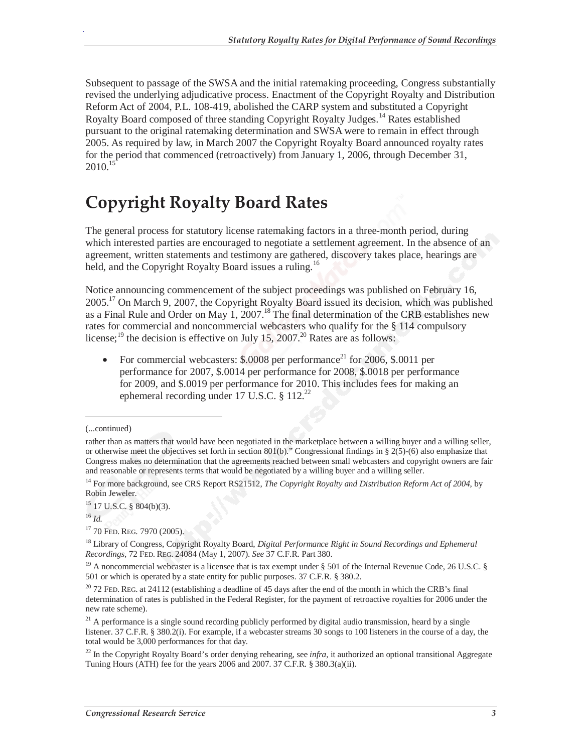Subsequent to passage of the SWSA and the initial ratemaking proceeding, Congress substantially revised the underlying adjudicative process. Enactment of the Copyright Royalty and Distribution Reform Act of 2004, P.L. 108-419, abolished the CARP system and substituted a Copyright Royalty Board composed of three standing Copyright Royalty Judges.<sup>14</sup> Rates established pursuant to the original ratemaking determination and SWSA were to remain in effect through 2005. As required by law, in March 2007 the Copyright Royalty Board announced royalty rates for the period that commenced (retroactively) from January 1, 2006, through December 31,  $2010.<sup>15</sup>$ 

## **Copyright Royalty Board Rates**

The general process for statutory license ratemaking factors in a three-month period, during which interested parties are encouraged to negotiate a settlement agreement. In the absence of an agreement, written statements and testimony are gathered, discovery takes place, hearings are held, and the Copyright Royalty Board issues a ruling.<sup>16</sup>

Notice announcing commencement of the subject proceedings was published on February 16,  $2005<sup>17</sup>$  On March 9, 2007, the Copyright Royalty Board issued its decision, which was published as a Final Rule and Order on May 1, 2007.<sup>18</sup> The final determination of the CRB establishes new rates for commercial and noncommercial webcasters who qualify for the § 114 compulsory license;<sup>19</sup> the decision is effective on July 15, 2007.<sup>20</sup> Rates are as follows:

• For commercial webcasters:  $$.0008$  per performance<sup>21</sup> for 2006,  $$.0011$  per performance for 2007, \$.0014 per performance for 2008, \$.0018 per performance for 2009, and \$.0019 per performance for 2010. This includes fees for making an ephemeral recording under 17 U.S.C.  $\S$  112.<sup>22</sup>

-

.

 $15$  17 U.S.C. § 804(b)(3).

<sup>16</sup> *Id.*

<sup>17</sup> 70 FED. REG. 7970 (2005).

<sup>(...</sup>continued)

rather than as matters that would have been negotiated in the marketplace between a willing buyer and a willing seller, or otherwise meet the objectives set forth in section 801(b)." Congressional findings in § 2(5)-(6) also emphasize that Congress makes no determination that the agreements reached between small webcasters and copyright owners are fair and reasonable or represents terms that would be negotiated by a willing buyer and a willing seller.

<sup>&</sup>lt;sup>14</sup> For more background, see CRS Report RS21512, *The Copyright Royalty and Distribution Reform Act of 2004*, by Robin Jeweler.

<sup>18</sup> Library of Congress, Copyright Royalty Board, *Digital Performance Right in Sound Recordings and Ephemeral Recordings,* 72 FED. REG. 24084 (May 1, 2007). *See* 37 C.F.R. Part 380.

<sup>&</sup>lt;sup>19</sup> A noncommercial webcaster is a licensee that is tax exempt under  $\S$  501 of the Internal Revenue Code, 26 U.S.C.  $\S$ 501 or which is operated by a state entity for public purposes. 37 C.F.R. § 380.2.

 $20$  72 FED. REG. at 24112 (establishing a deadline of 45 days after the end of the month in which the CRB's final determination of rates is published in the Federal Register, for the payment of retroactive royalties for 2006 under the new rate scheme).

 $21$  A performance is a single sound recording publicly performed by digital audio transmission, heard by a single listener. 37 C.F.R. § 380.2(i). For example, if a webcaster streams 30 songs to 100 listeners in the course of a day, the total would be 3,000 performances for that day.

<sup>&</sup>lt;sup>22</sup> In the Copyright Royalty Board's order denying rehearing, see *infra*, it authorized an optional transitional Aggregate Tuning Hours (ATH) fee for the years 2006 and 2007. 37 C.F.R. § 380.3(a)(ii).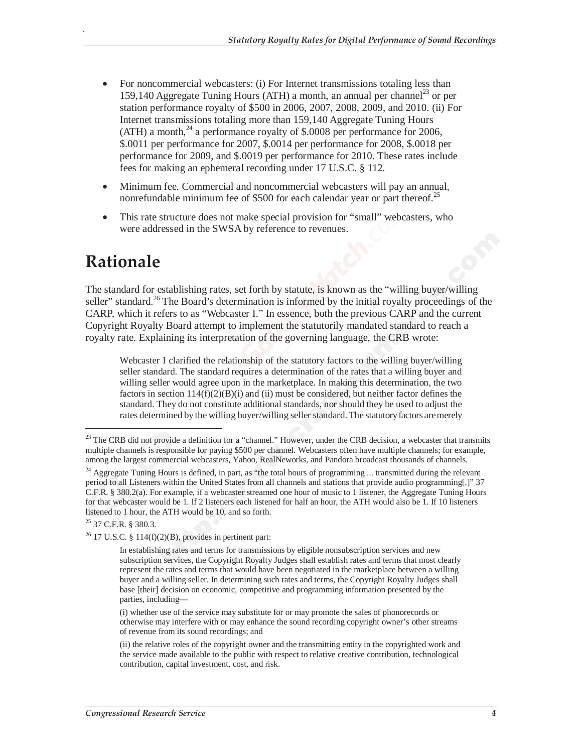- For noncommercial webcasters: (i) For Internet transmissions totaling less than 159,140 Aggregate Tuning Hours (ATH) a month, an annual per channel<sup>23</sup> or per station performance royalty of \$500 in 2006, 2007, 2008, 2009, and 2010. (ii) For Internet transmissions totaling more than 159,140 Aggregate Tuning Hours  $(ATH)$  a month,<sup>24</sup> a performance royalty of \$.0008 per performance for 2006, \$.0011 per performance for 2007, \$.0014 per performance for 2008, \$.0018 per performance for 2009, and \$.0019 per performance for 2010. These rates include fees for making an ephemeral recording under 17 U.S.C. § 112.
- Minimum fee. Commercial and noncommercial webcasters will pay an annual, nonrefundable minimum fee of \$500 for each calendar year or part thereof.<sup>25</sup>
- This rate structure does not make special provision for "small" webcasters, who were addressed in the SWSA by reference to revenues.

## **Rationale**

The standard for establishing rates, set forth by statute, is known as the "willing buyer/willing seller" standard.<sup>26</sup> The Board's determination is informed by the initial royalty proceedings of the CARP, which it refers to as "Webcaster I." In essence, both the previous CARP and the current Copyright Royalty Board attempt to implement the statutorily mandated standard to reach a royalty rate. Explaining its interpretation of the governing language, the CRB wrote:

Webcaster I clarified the relationship of the statutory factors to the willing buyer/willing seller standard. The standard requires a determination of the rates that a willing buyer and willing seller would agree upon in the marketplace. In making this determination, the two factors in section  $114(f)(2)(B)(i)$  and (ii) must be considered, but neither factor defines the standard. They do not constitute additional standards, nor should they be used to adjust the rates determined by the willing buyer/willing seller standard. The statutory factors are merely

-

 $^{23}$  The CRB did not provide a definition for a "channel." However, under the CRB decision, a webcaster that transmits multiple channels is responsible for paying \$500 per channel. Webcasters often have multiple channels; for example, among the largest commercial webcasters, Yahoo, RealNeworks, and Pandora broadcast thousands of channels.

<sup>&</sup>lt;sup>24</sup> Aggregate Tuning Hours is defined, in part, as "the total hours of programming ... transmitted during the relevant period to all Listeners within the United States from all channels and stations that provide audio programming[.]" 37 C.F.R. § 380.2(a). For example, if a webcaster streamed one hour of music to 1 listener, the Aggregate Tuning Hours for that webcaster would be 1. If 2 listeners each listened for half an hour, the ATH would also be 1. If 10 listeners listened to 1 hour, the ATH would be 10, and so forth.

<sup>25 37</sup> C.F.R. § 380.3.

 $26$  17 U.S.C. § 114(f)(2)(B), provides in pertinent part:

In establishing rates and terms for transmissions by eligible nonsubscription services and new subscription services, the Copyright Royalty Judges shall establish rates and terms that most clearly represent the rates and terms that would have been negotiated in the marketplace between a willing buyer and a willing seller. In determining such rates and terms, the Copyright Royalty Judges shall base [their] decision on economic, competitive and programming information presented by the parties, including—

<sup>(</sup>i) whether use of the service may substitute for or may promote the sales of phonorecords or otherwise may interfere with or may enhance the sound recording copyright owner's other streams of revenue from its sound recordings; and

<sup>(</sup>ii) the relative roles of the copyright owner and the transmitting entity in the copyrighted work and the service made available to the public with respect to relative creative contribution, technological contribution, capital investment, cost, and risk.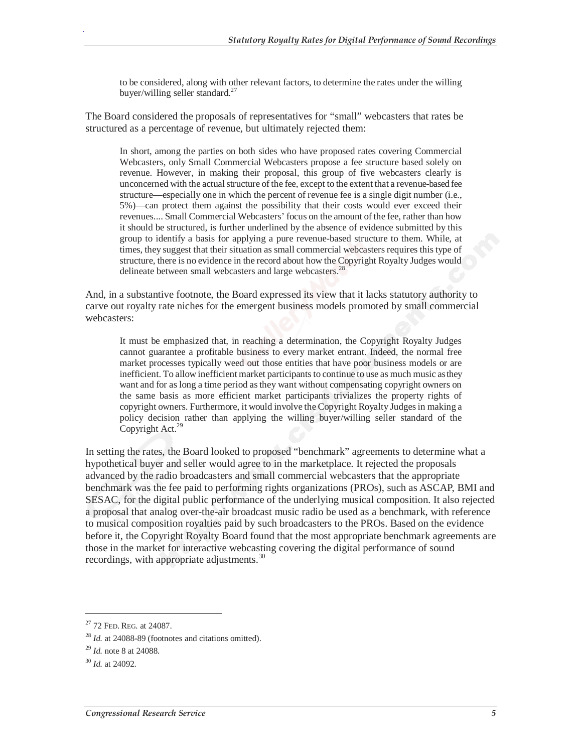to be considered, along with other relevant factors, to determine the rates under the willing buyer/willing seller standard. $^{27}$ 

The Board considered the proposals of representatives for "small" webcasters that rates be structured as a percentage of revenue, but ultimately rejected them:

In short, among the parties on both sides who have proposed rates covering Commercial Webcasters, only Small Commercial Webcasters propose a fee structure based solely on revenue. However, in making their proposal, this group of five webcasters clearly is unconcerned with the actual structure of the fee, except to the extent that a revenue-based fee structure—especially one in which the percent of revenue fee is a single digit number (i.e., 5%)—can protect them against the possibility that their costs would ever exceed their revenues.... Small Commercial Webcasters' focus on the amount of the fee, rather than how it should be structured, is further underlined by the absence of evidence submitted by this group to identify a basis for applying a pure revenue-based structure to them. While, at times, they suggest that their situation as small commercial webcasters requires this type of structure, there is no evidence in the record about how the Copyright Royalty Judges would delineate between small webcasters and large webcasters.<sup>2</sup>

And, in a substantive footnote, the Board expressed its view that it lacks statutory authority to carve out royalty rate niches for the emergent business models promoted by small commercial webcasters:

It must be emphasized that, in reaching a determination, the Copyright Royalty Judges cannot guarantee a profitable business to every market entrant. Indeed, the normal free market processes typically weed out those entities that have poor business models or are inefficient. To allow inefficient market participants to continue to use as much music as they want and for as long a time period as they want without compensating copyright owners on the same basis as more efficient market participants trivializes the property rights of copyright owners. Furthermore, it would involve the Copyright Royalty Judges in making a policy decision rather than applying the willing buyer/willing seller standard of the Copyright Act.<sup>29</sup>

In setting the rates, the Board looked to proposed "benchmark" agreements to determine what a hypothetical buyer and seller would agree to in the marketplace. It rejected the proposals advanced by the radio broadcasters and small commercial webcasters that the appropriate benchmark was the fee paid to performing rights organizations (PROs), such as ASCAP, BMI and SESAC, for the digital public performance of the underlying musical composition. It also rejected a proposal that analog over-the-air broadcast music radio be used as a benchmark, with reference to musical composition royalties paid by such broadcasters to the PROs. Based on the evidence before it, the Copyright Royalty Board found that the most appropriate benchmark agreements are those in the market for interactive webcasting covering the digital performance of sound recordings, with appropriate adjustments.<sup>30</sup>

<u>.</u>

 $27$  72 Fed. Reg. at 24087.

<sup>28</sup> *Id.* at 24088-89 (footnotes and citations omitted).

<sup>29</sup> *Id.* note 8 at 24088.

<sup>30</sup> *Id.* at 24092.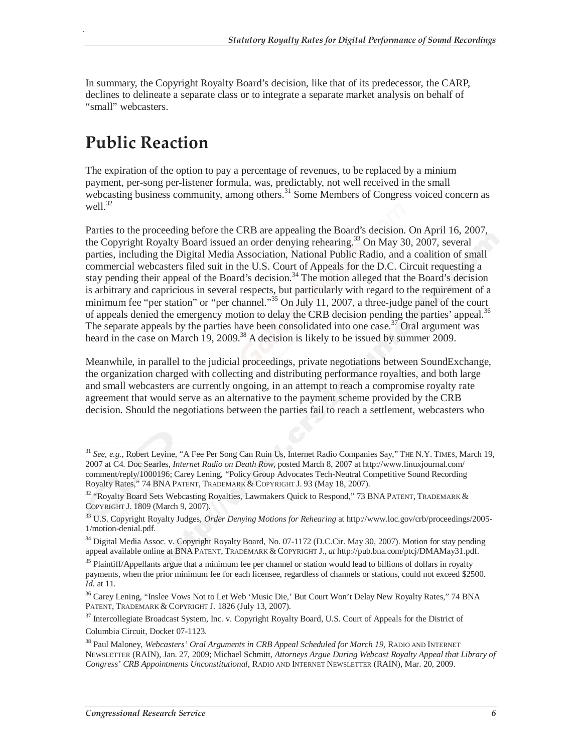In summary, the Copyright Royalty Board's decision, like that of its predecessor, the CARP, declines to delineate a separate class or to integrate a separate market analysis on behalf of "small" webcasters.

## **Public Reaction**

The expiration of the option to pay a percentage of revenues, to be replaced by a minium payment, per-song per-listener formula, was, predictably, not well received in the small webcasting business community, among others. $31$  Some Members of Congress voiced concern as well.<sup>32</sup>

Parties to the proceeding before the CRB are appealing the Board's decision. On April 16, 2007, the Copyright Royalty Board issued an order denying rehearing.<sup>33</sup> On May 30, 2007, several parties, including the Digital Media Association, National Public Radio, and a coalition of small commercial webcasters filed suit in the U.S. Court of Appeals for the D.C. Circuit requesting a stay pending their appeal of the Board's decision.<sup>34</sup> The motion alleged that the Board's decision is arbitrary and capricious in several respects, but particularly with regard to the requirement of a minimum fee "per station" or "per channel."<sup>35</sup> On July 11, 2007, a three-judge panel of the court of appeals denied the emergency motion to delay the CRB decision pending the parties' appeal.<sup>36</sup> The separate appeals by the parties have been consolidated into one case.<sup>37</sup> Oral argument was heard in the case on March 19, 2009.<sup>38</sup> A decision is likely to be issued by summer 2009.

Meanwhile, in parallel to the judicial proceedings, private negotiations between SoundExchange, the organization charged with collecting and distributing performance royalties, and both large and small webcasters are currently ongoing, in an attempt to reach a compromise royalty rate agreement that would serve as an alternative to the payment scheme provided by the CRB decision. Should the negotiations between the parties fail to reach a settlement, webcasters who

-

<sup>&</sup>lt;sup>31</sup> See, e.g., Robert Levine, "A Fee Per Song Can Ruin Us, Internet Radio Companies Say," THE N.Y. TIMES, March 19, 2007 at C4. Doc Searles, *Internet Radio on Death Row,* posted March 8, 2007 at http://www.linuxjournal.com/ comment/reply/1000196; Carey Lening, "Policy Group Advocates Tech-Neutral Competitive Sound Recording Royalty Rates," 74 BNA PATENT, TRADEMARK & COPYRIGHT J. 93 (May 18, 2007).

<sup>&</sup>lt;sup>32</sup> "Royalty Board Sets Webcasting Royalties, Lawmakers Quick to Respond," 73 BNA PATENT, TRADEMARK & COPYRIGHT J. 1809 (March 9, 2007).

<sup>33</sup> U.S. Copyright Royalty Judges, *Order Denying Motions for Rehearing* at http://www.loc.gov/crb/proceedings/2005- 1/motion-denial.pdf.

<sup>&</sup>lt;sup>34</sup> Digital Media Assoc. v. Copyright Royalty Board, No. 07-1172 (D.C.Cir. May 30, 2007). Motion for stay pending appeal available online at BNA PATENT, TRADEMARK & COPYRIGHT J., *at* http://pub.bna.com/ptcj/DMAMay31.pdf.

<sup>&</sup>lt;sup>35</sup> Plaintiff/Appellants argue that a minimum fee per channel or station would lead to billions of dollars in royalty payments, when the prior minimum fee for each licensee, regardless of channels or stations, could not exceed \$2500. *Id.* at 11.

<sup>&</sup>lt;sup>36</sup> Carey Lening, "Inslee Vows Not to Let Web 'Music Die,' But Court Won't Delay New Royalty Rates," 74 BNA PATENT, TRADEMARK & COPYRIGHT J. 1826 (July 13, 2007).

 $37$  Intercollegiate Broadcast System, Inc. v. Copyright Royalty Board, U.S. Court of Appeals for the District of Columbia Circuit, Docket 07-1123.

<sup>38</sup> Paul Maloney, *Webcasters' Oral Arguments in CRB Appeal Scheduled for March 19,* RADIO AND INTERNET NEWSLETTER (RAIN), Jan. 27, 2009; Michael Schmitt, *Attorneys Argue During Webcast Royalty Appeal that Library of Congress' CRB Appointments Unconstitutional,* RADIO AND INTERNET NEWSLETTER (RAIN), Mar. 20, 2009.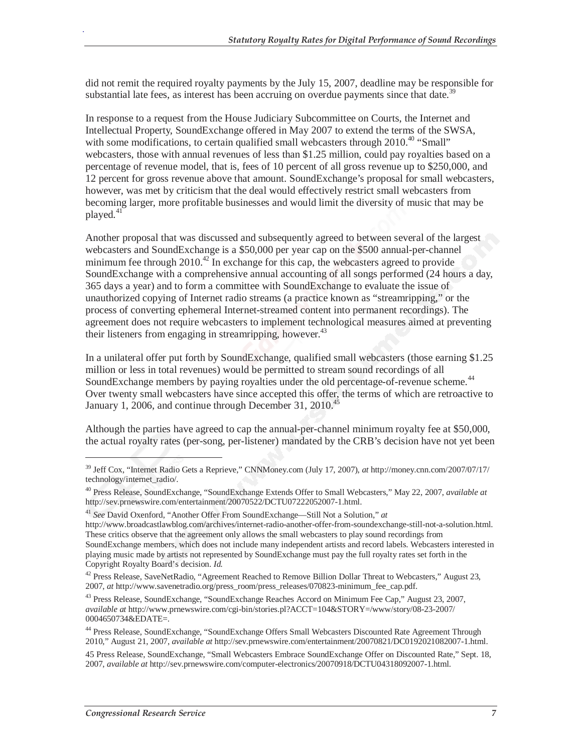did not remit the required royalty payments by the July 15, 2007, deadline may be responsible for substantial late fees, as interest has been accruing on overdue payments since that date.<sup>39</sup>

In response to a request from the House Judiciary Subcommittee on Courts, the Internet and Intellectual Property, SoundExchange offered in May 2007 to extend the terms of the SWSA, with some modifications, to certain qualified small webcasters through  $2010^{40}$  "Small" webcasters, those with annual revenues of less than \$1.25 million, could pay royalties based on a percentage of revenue model, that is, fees of 10 percent of all gross revenue up to \$250,000, and 12 percent for gross revenue above that amount. SoundExchange's proposal for small webcasters, however, was met by criticism that the deal would effectively restrict small webcasters from becoming larger, more profitable businesses and would limit the diversity of music that may be played.<sup>41</sup>

Another proposal that was discussed and subsequently agreed to between several of the largest webcasters and SoundExchange is a \$50,000 per year cap on the \$500 annual-per-channel minimum fee through  $2010^{42}$  In exchange for this cap, the webcasters agreed to provide SoundExchange with a comprehensive annual accounting of all songs performed (24 hours a day, 365 days a year) and to form a committee with SoundExchange to evaluate the issue of unauthorized copying of Internet radio streams (a practice known as "streamripping," or the process of converting ephemeral Internet-streamed content into permanent recordings). The agreement does not require webcasters to implement technological measures aimed at preventing their listeners from engaging in streamripping, however.  $43$ 

In a unilateral offer put forth by SoundExchange, qualified small webcasters (those earning \$1.25 million or less in total revenues) would be permitted to stream sound recordings of all SoundExchange members by paying royalties under the old percentage-of-revenue scheme.<sup>44</sup> Over twenty small webcasters have since accepted this offer, the terms of which are retroactive to January 1, 2006, and continue through December 31, 2010.<sup>45</sup>

Although the parties have agreed to cap the annual-per-channel minimum royalty fee at \$50,000, the actual royalty rates (per-song, per-listener) mandated by the CRB's decision have not yet been

-

<sup>39</sup> Jeff Cox, "Internet Radio Gets a Reprieve," CNNMoney.com (July 17, 2007), *at* http://money.cnn.com/2007/07/17/ technology/internet\_radio/.

<sup>40</sup> Press Release, SoundExchange, "SoundExchange Extends Offer to Small Webcasters," May 22, 2007, *available at* http://sev.prnewswire.com/entertainment/20070522/DCTU07222052007-1.html.

<sup>41</sup> *See* David Oxenford, "Another Offer From SoundExchange—Still Not a Solution," *at* 

http://www.broadcastlawblog.com/archives/internet-radio-another-offer-from-soundexchange-still-not-a-solution.html. These critics observe that the agreement only allows the small webcasters to play sound recordings from SoundExchange members, which does not include many independent artists and record labels. Webcasters interested in playing music made by artists not represented by SoundExchange must pay the full royalty rates set forth in the Copyright Royalty Board's decision. *Id.* 

<sup>&</sup>lt;sup>42</sup> Press Release, SaveNetRadio, "Agreement Reached to Remove Billion Dollar Threat to Webcasters," August 23, 2007, *at* http://www.savenetradio.org/press\_room/press\_releases/070823-minimum\_fee\_cap.pdf.

<sup>43</sup> Press Release, SoundExchange, "SoundExchange Reaches Accord on Minimum Fee Cap," August 23, 2007, *available at* http://www.prnewswire.com/cgi-bin/stories.pl?ACCT=104&STORY=/www/story/08-23-2007/ 0004650734&EDATE=.

<sup>44</sup> Press Release, SoundExchange, "SoundExchange Offers Small Webcasters Discounted Rate Agreement Through 2010," August 21, 2007, *available at* http://sev.prnewswire.com/entertainment/20070821/DC0192021082007-1.html.

<sup>45</sup> Press Release, SoundExchange, "Small Webcasters Embrace SoundExchange Offer on Discounted Rate," Sept. 18, 2007, *available at* http://sev.prnewswire.com/computer-electronics/20070918/DCTU04318092007-1.html.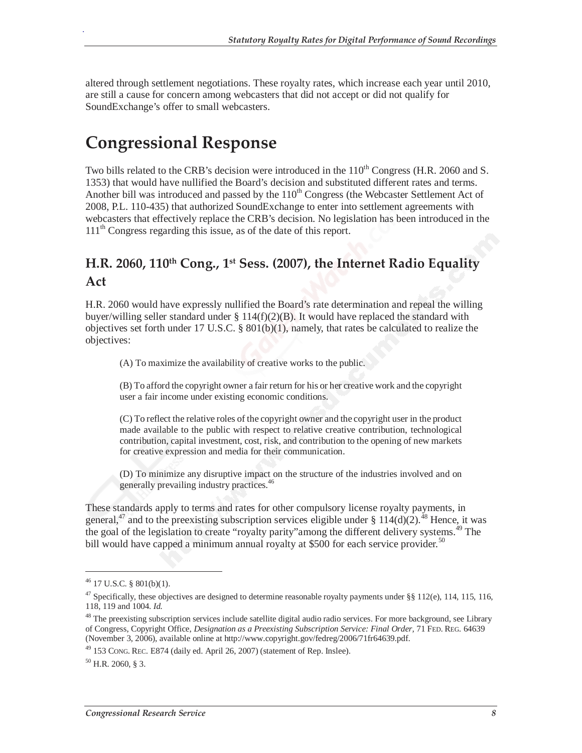altered through settlement negotiations. These royalty rates, which increase each year until 2010, are still a cause for concern among webcasters that did not accept or did not qualify for SoundExchange's offer to small webcasters.

## **Congressional Response**

Two bills related to the CRB's decision were introduced in the  $110<sup>th</sup>$  Congress (H.R. 2060 and S. 1353) that would have nullified the Board's decision and substituted different rates and terms. Another bill was introduced and passed by the  $110<sup>th</sup>$  Congress (the Webcaster Settlement Act of 2008, P.L. 110-435) that authorized SoundExchange to enter into settlement agreements with webcasters that effectively replace the CRB's decision. No legislation has been introduced in the  $111<sup>th</sup>$  Congress regarding this issue, as of the date of this report.

#### **H.R. 2060, 110th Cong., 1st Sess. (2007), the Internet Radio Equality Act**

H.R. 2060 would have expressly nullified the Board's rate determination and repeal the willing buyer/willing seller standard under  $\S 114(f)(2)(B)$ . It would have replaced the standard with objectives set forth under 17 U.S.C. § 801(b)(1), namely, that rates be calculated to realize the objectives:

(A) To maximize the availability of creative works to the public.

(B) To afford the copyright owner a fair return for his or her creative work and the copyright user a fair income under existing economic conditions.

(C) To reflect the relative roles of the copyright owner and the copyright user in the product made available to the public with respect to relative creative contribution, technological contribution, capital investment, cost, risk, and contribution to the opening of new markets for creative expression and media for their communication.

(D) To minimize any disruptive impact on the structure of the industries involved and on generally prevailing industry practices.<sup>46</sup>

These standards apply to terms and rates for other compulsory license royalty payments, in general,<sup>47</sup> and to the preexisting subscription services eligible under §  $114(d)(2)$ .<sup>48</sup> Hence, it was the goal of the legislation to create "royalty parity" among the different delivery systems.<sup>49</sup> The bill would have capped a minimum annual royalty at \$500 for each service provider.<sup>50</sup>

-

 $46$  17 U.S.C. § 801(b)(1).

 $47$  Specifically, these objectives are designed to determine reasonable royalty payments under §§ 112(e), 114, 115, 116, 118, 119 and 1004. *Id.*

 $48$  The preexisting subscription services include satellite digital audio radio services. For more background, see Library of Congress, Copyright Office, *Designation as a Preexisting Subscription Service: Final Order,* 71 FED. REG. 64639 (November 3, 2006), available online at http://www.copyright.gov/fedreg/2006/71fr64639.pdf.<br><sup>49</sup> 153 CONG. REC. E874 (daily ed. April 26, 2007) (statement of Rep. Inslee).

 $50$  H.R. 2060, § 3.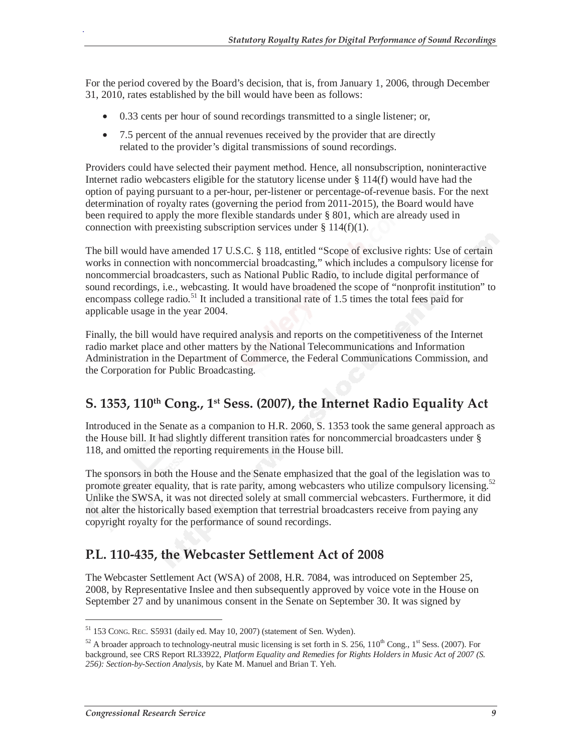For the period covered by the Board's decision, that is, from January 1, 2006, through December 31, 2010, rates established by the bill would have been as follows:

- 0.33 cents per hour of sound recordings transmitted to a single listener; or,
- 7.5 percent of the annual revenues received by the provider that are directly related to the provider's digital transmissions of sound recordings.

Providers could have selected their payment method. Hence, all nonsubscription, noninteractive Internet radio webcasters eligible for the statutory license under § 114(f) would have had the option of paying pursuant to a per-hour, per-listener or percentage-of-revenue basis. For the next determination of royalty rates (governing the period from 2011-2015), the Board would have been required to apply the more flexible standards under § 801, which are already used in connection with preexisting subscription services under  $\S 114(f)(1)$ .

The bill would have amended 17 U.S.C. § 118, entitled "Scope of exclusive rights: Use of certain works in connection with noncommercial broadcasting," which includes a compulsory license for noncommercial broadcasters, such as National Public Radio, to include digital performance of sound recordings, i.e., webcasting. It would have broadened the scope of "nonprofit institution" to encompass college radio.<sup>51</sup> It included a transitional rate of 1.5 times the total fees paid for applicable usage in the year 2004.

Finally, the bill would have required analysis and reports on the competitiveness of the Internet radio market place and other matters by the National Telecommunications and Information Administration in the Department of Commerce, the Federal Communications Commission, and the Corporation for Public Broadcasting.

#### **S. 1353, 110th Cong., 1st Sess. (2007), the Internet Radio Equality Act**

Introduced in the Senate as a companion to H.R. 2060, S. 1353 took the same general approach as the House bill. It had slightly different transition rates for noncommercial broadcasters under § 118, and omitted the reporting requirements in the House bill.

The sponsors in both the House and the Senate emphasized that the goal of the legislation was to promote greater equality, that is rate parity, among webcasters who utilize compulsory licensing.<sup>52</sup> Unlike the SWSA, it was not directed solely at small commercial webcasters. Furthermore, it did not alter the historically based exemption that terrestrial broadcasters receive from paying any copyright royalty for the performance of sound recordings.

#### **P.L. 110-435, the Webcaster Settlement Act of 2008**

The Webcaster Settlement Act (WSA) of 2008, H.R. 7084, was introduced on September 25, 2008, by Representative Inslee and then subsequently approved by voice vote in the House on September 27 and by unanimous consent in the Senate on September 30. It was signed by

<u>.</u>

<sup>51 153</sup> CONG. REC. S5931 (daily ed. May 10, 2007) (statement of Sen. Wyden).

<sup>&</sup>lt;sup>52</sup> A broader approach to technology-neutral music licensing is set forth in S. 256,  $110^{th}$  Cong.,  $1^{st}$  Sess. (2007). For background, see CRS Report RL33922, *Platform Equality and Remedies for Rights Holders in Music Act of 2007 (S. 256): Section-by-Section Analysis*, by Kate M. Manuel and Brian T. Yeh.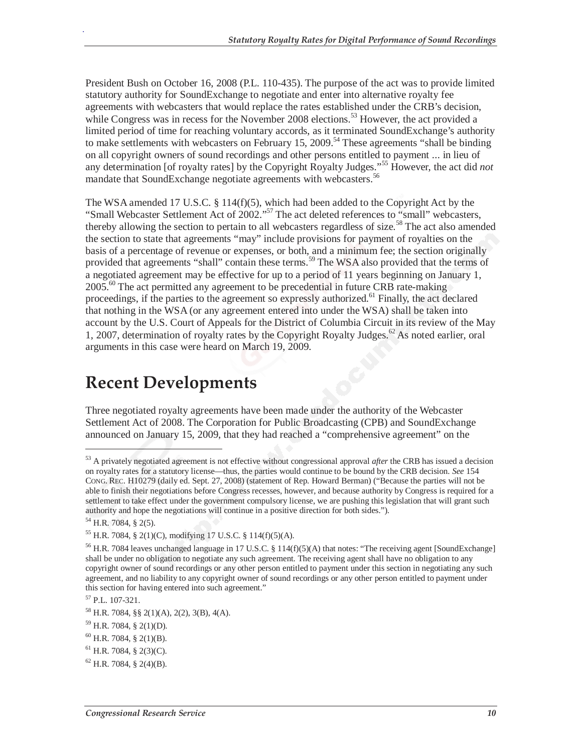President Bush on October 16, 2008 (P.L. 110-435). The purpose of the act was to provide limited statutory authority for SoundExchange to negotiate and enter into alternative royalty fee agreements with webcasters that would replace the rates established under the CRB's decision, while Congress was in recess for the November 2008 elections.<sup>53</sup> However, the act provided a limited period of time for reaching voluntary accords, as it terminated SoundExchange's authority to make settlements with webcasters on February 15, 2009.<sup>54</sup> These agreements "shall be binding" on all copyright owners of sound recordings and other persons entitled to payment ... in lieu of any determination [of royalty rates] by the Copyright Royalty Judges."55 However, the act did *not*  mandate that SoundExchange negotiate agreements with webcasters.<sup>56</sup>

The WSA amended 17 U.S.C. § 114(f)(5), which had been added to the Copyright Act by the "Small Webcaster Settlement Act of 2002."<sup>57</sup> The act deleted references to "small" webcasters, thereby allowing the section to pertain to all webcasters regardless of size.<sup>58</sup> The act also amended the section to state that agreements "may" include provisions for payment of royalties on the basis of a percentage of revenue or expenses, or both, and a minimum fee; the section originally provided that agreements "shall" contain these terms.<sup>59</sup> The WSA also provided that the terms of a negotiated agreement may be effective for up to a period of 11 years beginning on January 1,  $2005<sup>60</sup>$  The act permitted any agreement to be precedential in future CRB rate-making proceedings, if the parties to the agreement so expressly authorized.<sup>61</sup> Finally, the act declared that nothing in the WSA (or any agreement entered into under the WSA) shall be taken into account by the U.S. Court of Appeals for the District of Columbia Circuit in its review of the May 1, 2007, determination of royalty rates by the Copyright Royalty Judges.<sup>62</sup> As noted earlier, oral arguments in this case were heard on March 19, 2009.

## **Recent Developments**

Three negotiated royalty agreements have been made under the authority of the Webcaster Settlement Act of 2008. The Corporation for Public Broadcasting (CPB) and SoundExchange announced on January 15, 2009, that they had reached a "comprehensive agreement" on the

<u>.</u>

<sup>53</sup> A privately negotiated agreement is not effective without congressional approval *after* the CRB has issued a decision on royalty rates for a statutory license—thus, the parties would continue to be bound by the CRB decision. *See* 154 CONG. REC. H10279 (daily ed. Sept. 27, 2008) (statement of Rep. Howard Berman) ("Because the parties will not be able to finish their negotiations before Congress recesses, however, and because authority by Congress is required for a settlement to take effect under the government compulsory license, we are pushing this legislation that will grant such authority and hope the negotiations will continue in a positive direction for both sides.").

<sup>54</sup> H.R. 7084, § 2(5).

<sup>55</sup> H.R. 7084, § 2(1)(C), modifying 17 U.S.C. § 114(f)(5)(A).

<sup>&</sup>lt;sup>56</sup> H.R. 7084 leaves unchanged language in 17 U.S.C. § 114(f)(5)(A) that notes: "The receiving agent [SoundExchange] shall be under no obligation to negotiate any such agreement. The receiving agent shall have no obligation to any copyright owner of sound recordings or any other person entitled to payment under this section in negotiating any such agreement, and no liability to any copyright owner of sound recordings or any other person entitled to payment under this section for having entered into such agreement."

<sup>57</sup> P.L. 107-321.

<sup>58</sup> H.R. 7084, §§ 2(1)(A), 2(2), 3(B), 4(A).

 $^{59}$  H.R. 7084, § 2(1)(D).

 $^{60}$  H.R. 7084, § 2(1)(B).

 $^{61}$  H.R. 7084, § 2(3)(C).

 $62$  H.R. 7084, § 2(4)(B).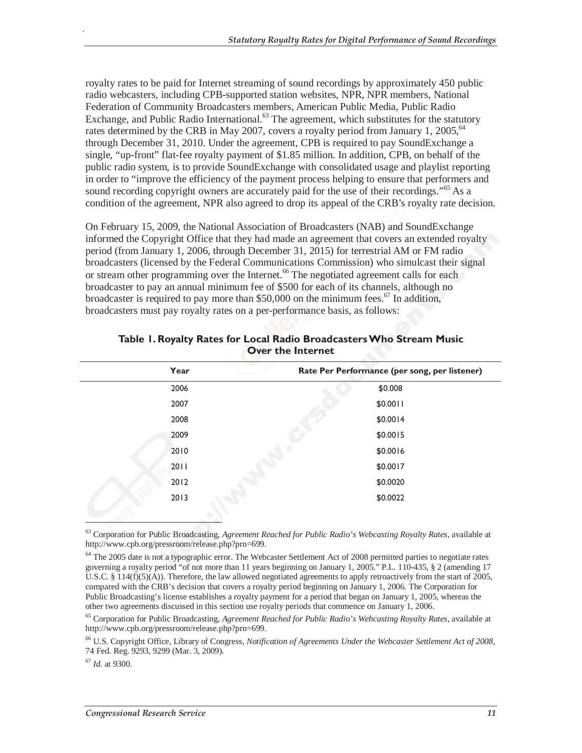royalty rates to be paid for Internet streaming of sound recordings by approximately 450 public radio webcasters, including CPB-supported station websites, NPR, NPR members, National Federation of Community Broadcasters members, American Public Media, Public Radio Exchange, and Public Radio International. $^{63}$  The agreement, which substitutes for the statutory rates determined by the CRB in May 2007, covers a royalty period from January 1, 2005,  $64$ through December 31, 2010. Under the agreement, CPB is required to pay SoundExchange a single, "up-front" flat-fee royalty payment of \$1.85 million. In addition, CPB, on behalf of the public radio system, is to provide SoundExchange with consolidated usage and playlist reporting in order to "improve the efficiency of the payment process helping to ensure that performers and sound recording copyright owners are accurately paid for the use of their recordings."<sup>65</sup> As a condition of the agreement, NPR also agreed to drop its appeal of the CRB's royalty rate decision.

On February 15, 2009, the National Association of Broadcasters (NAB) and SoundExchange informed the Copyright Office that they had made an agreement that covers an extended royalty period (from January 1, 2006, through December 31, 2015) for terrestrial AM or FM radio broadcasters (licensed by the Federal Communications Commission) who simulcast their signal or stream other programming over the Internet.<sup>66</sup> The negotiated agreement calls for each broadcaster to pay an annual minimum fee of \$500 for each of its channels, although no broadcaster is required to pay more than \$50,000 on the minimum fees.<sup>67</sup> In addition, broadcasters must pay royalty rates on a per-performance basis, as follows:

| Year | Rate Per Performance (per song, per listener) |
|------|-----------------------------------------------|
| 2006 | \$0.008                                       |
| 2007 | \$0.0011                                      |
| 2008 | \$0.0014                                      |
| 2009 | \$0.0015                                      |
| 2010 | \$0.0016                                      |
| 2011 | \$0.0017                                      |
| 2012 | \$0.0020                                      |
| 2013 | \$0.0022                                      |
|      |                                               |

#### **Table 1. Royalty Rates for Local Radio Broadcasters Who Stream Music Over the Internet**

<sup>67</sup> *Id.* at 9300.

<u>.</u>

<sup>63</sup> Corporation for Public Broadcasting, *Agreement Reached for Public Radio's Webcasting Royalty Rates,* available at http://www.cpb.org/pressroom/release.php?prn=699.

<sup>&</sup>lt;sup>64</sup> The 2005 date is not a typographic error. The Webcaster Settlement Act of 2008 permitted parties to negotiate rates governing a royalty period "of not more than 11 years beginning on January 1, 2005." P.L. 110-435,  $\S$  2 (amending 17 U.S.C. § 114(f)(5)(A)). Therefore, the law allowed negotiated agreements to apply retroactively from the start of 2005, compared with the CRB's decision that covers a royalty period beginning on January 1, 2006. The Corporation for Public Broadcasting's license establishes a royalty payment for a period that began on January 1, 2005, whereas the other two agreements discussed in this section use royalty periods that commence on January 1, 2006.

<sup>65</sup> Corporation for Public Broadcasting, *Agreement Reached for Public Radio's Webcasting Royalty Rates,* available at http://www.cpb.org/pressroom/release.php?prn=699.

<sup>66</sup> U.S. Copyright Office, Library of Congress, *Notification of Agreements Under the Webcaster Settlement Act of 2008*, 74 Fed. Reg. 9293, 9299 (Mar. 3, 2009).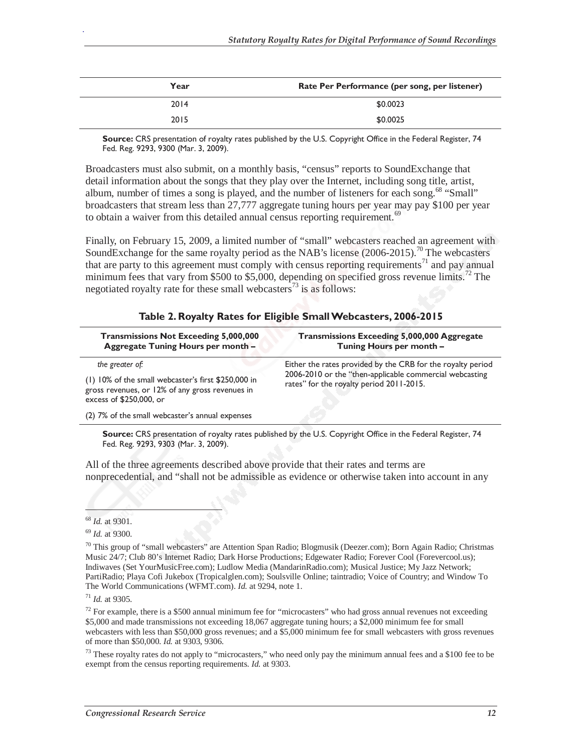| Year | Rate Per Performance (per song, per listener) |
|------|-----------------------------------------------|
| 2014 | \$0.0023                                      |
| 2015 | \$0.0025                                      |

**Source:** CRS presentation of royalty rates published by the U.S. Copyright Office in the Federal Register, 74 Fed. Reg. 9293, 9300 (Mar. 3, 2009).

Broadcasters must also submit, on a monthly basis, "census" reports to SoundExchange that detail information about the songs that they play over the Internet, including song title, artist, album, number of times a song is played, and the number of listeners for each song.<sup>68</sup> "Small" broadcasters that stream less than 27,777 aggregate tuning hours per year may pay \$100 per year to obtain a waiver from this detailed annual census reporting requirement.<sup>69</sup>

Finally, on February 15, 2009, a limited number of "small" webcasters reached an agreement with SoundExchange for the same royalty period as the NAB's license  $(2006-2015)$ .<sup>70</sup> The webcasters that are party to this agreement must comply with census reporting requirements<sup>71</sup> and pay annual minimum fees that vary from \$500 to \$5,000, depending on specified gross revenue limits.<sup>72</sup> The negotiated royalty rate for these small webcasters<sup>73</sup> is as follows:

#### **Table 2. Royalty Rates for Eligible Small Webcasters, 2006-2015**

| <b>Transmissions Not Exceeding 5,000,000</b><br>Aggregate Tuning Hours per month -                                                                   | Transmissions Exceeding 5,000,000 Aggregate<br>Tuning Hours per month -                                                                                            |
|------------------------------------------------------------------------------------------------------------------------------------------------------|--------------------------------------------------------------------------------------------------------------------------------------------------------------------|
| the greater of:<br>(1) 10% of the small webcaster's first \$250,000 in<br>gross revenues, or 12% of any gross revenues in<br>excess of \$250,000, or | Either the rates provided by the CRB for the royalty period<br>2006-2010 or the "then-applicable commercial webcasting<br>rates" for the royalty period 2011-2015. |
| (2) 7% of the small webcaster's annual expenses                                                                                                      |                                                                                                                                                                    |

**Source:** CRS presentation of royalty rates published by the U.S. Copyright Office in the Federal Register, 74 Fed. Reg. 9293, 9303 (Mar. 3, 2009).

All of the three agreements described above provide that their rates and terms are nonprecedential, and "shall not be admissible as evidence or otherwise taken into account in any

**.** 

.

<sup>73</sup> These royalty rates do not apply to "microcasters," who need only pay the minimum annual fees and a \$100 fee to be exempt from the census reporting requirements. *Id.* at 9303.

<sup>68</sup> *Id.* at 9301. 69 *Id.* at 9300.

<sup>70</sup> This group of "small webcasters" are Attention Span Radio; Blogmusik (Deezer.com); Born Again Radio; Christmas Music 24/7; Club 80's Internet Radio; Dark Horse Productions; Edgewater Radio; Forever Cool (Forevercool.us); Indiwaves (Set YourMusicFree.com); Ludlow Media (MandarinRadio.com); Musical Justice; My Jazz Network; PartiRadio; Playa Cofi Jukebox (Tropicalglen.com); Soulsville Online; taintradio; Voice of Country; and Window To The World Communications (WFMT.com). *Id.* at 9294, note 1.

<sup>71</sup> *Id.* at 9305.

 $72$  For example, there is a \$500 annual minimum fee for "microcasters" who had gross annual revenues not exceeding \$5,000 and made transmissions not exceeding 18,067 aggregate tuning hours; a \$2,000 minimum fee for small webcasters with less than \$50,000 gross revenues; and a \$5,000 minimum fee for small webcasters with gross revenues of more than \$50,000. *Id.* at 9303, 9306.